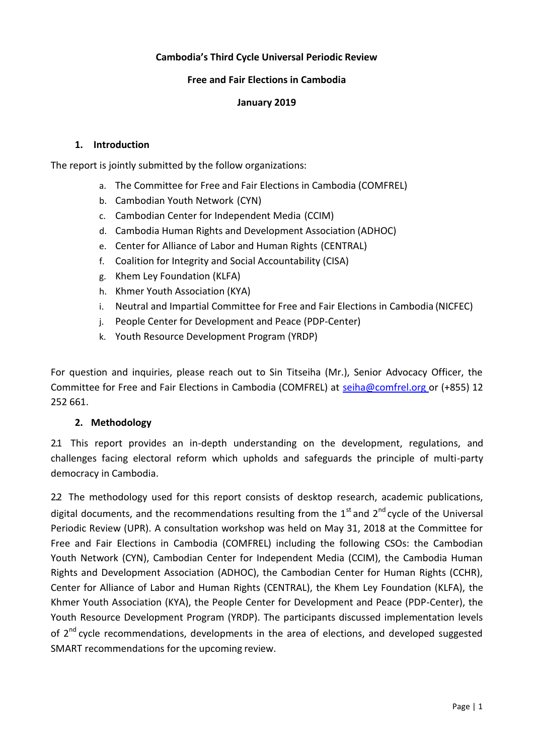## **Cambodia's Third Cycle Universal Periodic Review**

### **Free and Fair Elections in Cambodia**

### **January 2019**

#### **1. Introduction**

The report is jointly submitted by the follow organizations:

- a. The Committee for Free and Fair Elections in Cambodia (COMFREL)
- b. Cambodian Youth Network (CYN)
- c. Cambodian Center for Independent Media (CCIM)
- d. Cambodia Human Rights and Development Association (ADHOC)
- e. Center for Alliance of Labor and Human Rights (CENTRAL)
- f. Coalition for Integrity and Social Accountability (CISA)
- g. Khem Ley Foundation (KLFA)
- h. Khmer Youth Association (KYA)
- i. Neutral and Impartial Committee for Free and Fair Elections in Cambodia (NICFEC)
- j. People Center for Development and Peace (PDP-Center)
- k. Youth Resource Development Program (YRDP)

For question and inquiries, please reach out to Sin Titseiha (Mr.), Senior Advocacy Officer, the Committee for Free and Fair Elections in Cambodia (COMFREL) at [seiha@comfrel.org o](mailto:seiha@comfrel.org)r (+855) 12 252 661.

## **2. Methodology**

2.1 This report provides an in-depth understanding on the development, regulations, and challenges facing electoral reform which upholds and safeguards the principle of multi-party democracy in Cambodia.

2.2 The methodology used for this report consists of desktop research, academic publications, digital documents, and the recommendations resulting from the  $1<sup>st</sup>$  and  $2<sup>nd</sup>$  cycle of the Universal Periodic Review (UPR). A consultation workshop was held on May 31, 2018 at the Committee for Free and Fair Elections in Cambodia (COMFREL) including the following CSOs: the Cambodian Youth Network (CYN), Cambodian Center for Independent Media (CCIM), the Cambodia Human Rights and Development Association (ADHOC), the Cambodian Center for Human Rights (CCHR), Center for Alliance of Labor and Human Rights (CENTRAL), the Khem Ley Foundation (KLFA), the Khmer Youth Association (KYA), the People Center for Development and Peace (PDP-Center), the Youth Resource Development Program (YRDP). The participants discussed implementation levels of 2<sup>nd</sup> cycle recommendations, developments in the area of elections, and developed suggested SMART recommendations for the upcoming review.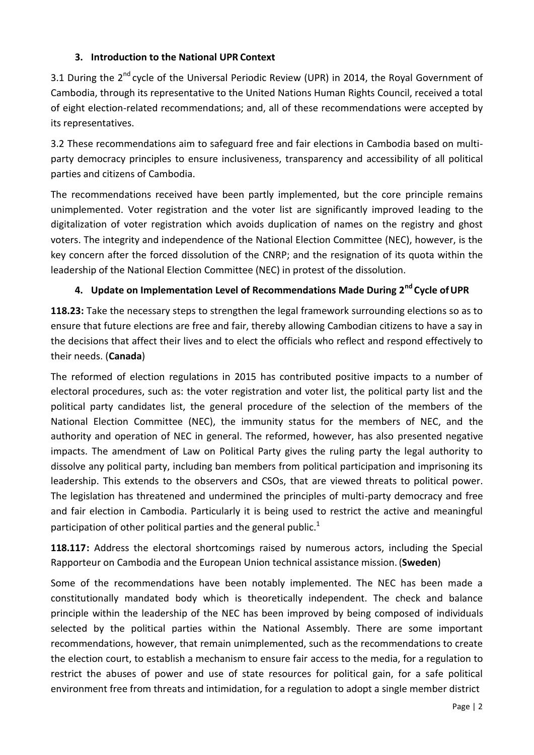# **3. Introduction to the National UPR Context**

3.1 During the 2<sup>nd</sup> cvcle of the Universal Periodic Review (UPR) in 2014, the Royal Government of Cambodia, through its representative to the United Nations Human Rights Council, received a total of eight election-related recommendations; and, all of these recommendations were accepted by its representatives.

3.2 These recommendations aim to safeguard free and fair elections in Cambodia based on multiparty democracy principles to ensure inclusiveness, transparency and accessibility of all political parties and citizens of Cambodia.

The recommendations received have been partly implemented, but the core principle remains unimplemented. Voter registration and the voter list are significantly improved leading to the digitalization of voter registration which avoids duplication of names on the registry and ghost voters. The integrity and independence of the National Election Committee (NEC), however, is the key concern after the forced dissolution of the CNRP; and the resignation of its quota within the leadership of the National Election Committee (NEC) in protest of the dissolution.

# **4. Update on Implementation Level of Recommendations Made During 2nd Cycle ofUPR**

**118.23:** Take the necessary steps to strengthen the legal framework surrounding elections so as to ensure that future elections are free and fair, thereby allowing Cambodian citizens to have a say in the decisions that affect their lives and to elect the officials who reflect and respond effectively to their needs. (**Canada**)

The reformed of election regulations in 2015 has contributed positive impacts to a number of electoral procedures, such as: the voter registration and voter list, the political party list and the political party candidates list, the general procedure of the selection of the members of the National Election Committee (NEC), the immunity status for the members of NEC, and the authority and operation of NEC in general. The reformed, however, has also presented negative impacts. The amendment of Law on Political Party gives the ruling party the legal authority to dissolve any political party, including ban members from political participation and imprisoning its leadership. This extends to the observers and CSOs, that are viewed threats to political power. The legislation has threatened and undermined the principles of multi-party democracy and free and fair election in Cambodia. Particularly it is being used to restrict the active and meaningful participation of other political parties and the general public.<sup>[1](#page-6-0)</sup>

**118.117:** Address the electoral shortcomings raised by numerous actors, including the Special Rapporteur on Cambodia and the European Union technical assistance mission. (**Sweden**)

Some of the recommendations have been notably implemented. The NEC has been made a constitutionally mandated body which is theoretically independent. The check and balance principle within the leadership of the NEC has been improved by being composed of individuals selected by the political parties within the National Assembly. There are some important recommendations, however, that remain unimplemented, such as the recommendations to create the election court, to establish a mechanism to ensure fair access to the media, for a regulation to restrict the abuses of power and use of state resources for political gain, for a safe political environment free from threats and intimidation, for a regulation to adopt a single member district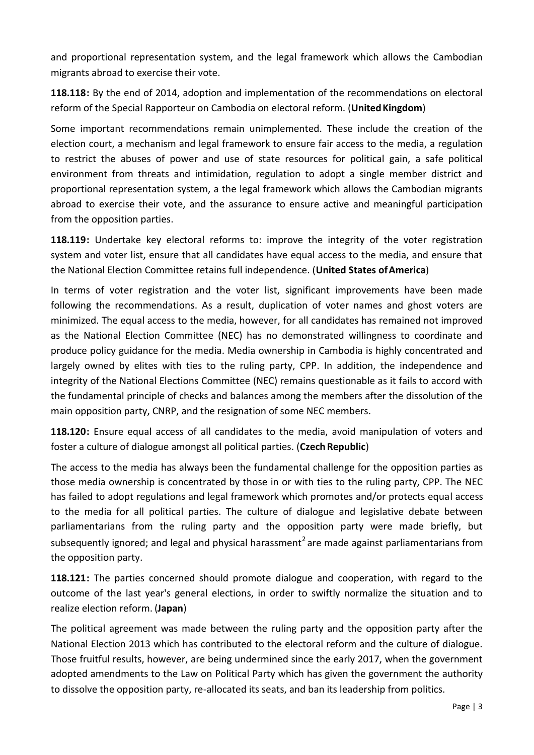and proportional representation system, and the legal framework which allows the Cambodian migrants abroad to exercise their vote.

**118.118:** By the end of 2014, adoption and implementation of the recommendations on electoral reform of the Special Rapporteur on Cambodia on electoral reform. (**UnitedKingdom**)

Some important recommendations remain unimplemented. These include the creation of the election court, a mechanism and legal framework to ensure fair access to the media, a regulation to restrict the abuses of power and use of state resources for political gain, a safe political environment from threats and intimidation, regulation to adopt a single member district and proportional representation system, a the legal framework which allows the Cambodian migrants abroad to exercise their vote, and the assurance to ensure active and meaningful participation from the opposition parties.

**118.119:** Undertake key electoral reforms to: improve the integrity of the voter registration system and voter list, ensure that all candidates have equal access to the media, and ensure that the National Election Committee retains full independence. (**United States ofAmerica**)

In terms of voter registration and the voter list, significant improvements have been made following the recommendations. As a result, duplication of voter names and ghost voters are minimized. The equal access to the media, however, for all candidates has remained not improved as the National Election Committee (NEC) has no demonstrated willingness to coordinate and produce policy guidance for the media. Media ownership in Cambodia is highly concentrated and largely owned by elites with ties to the ruling party, CPP. In addition, the independence and integrity of the National Elections Committee (NEC) remains questionable as it fails to accord with the fundamental principle of checks and balances among the members after the dissolution of the main opposition party, CNRP, and the resignation of some NEC members.

**118.120:** Ensure equal access of all candidates to the media, avoid manipulation of voters and foster a culture of dialogue amongst all political parties. (**CzechRepublic**)

The access to the media has always been the fundamental challenge for the opposition parties as those media ownership is concentrated by those in or with ties to the ruling party, CPP. The NEC has failed to adopt regulations and legal framework which promotes and/or protects equal access to the media for all political parties. The culture of dialogue and legislative debate between parliamentarians from the ruling party and the opposition party were made briefly, but subsequently ignored; and legal and physical harassment<sup>[2](#page-6-1)</sup> are made against parliamentarians from the opposition party.

**118.121:** The parties concerned should promote dialogue and cooperation, with regard to the outcome of the last year's general elections, in order to swiftly normalize the situation and to realize election reform. (**Japan**)

The political agreement was made between the ruling party and the opposition party after the National Election 2013 which has contributed to the electoral reform and the culture of dialogue. Those fruitful results, however, are being undermined since the early 2017, when the government adopted amendments to the Law on Political Party which has given the government the authority to dissolve the opposition party, re-allocated its seats, and ban its leadership from politics.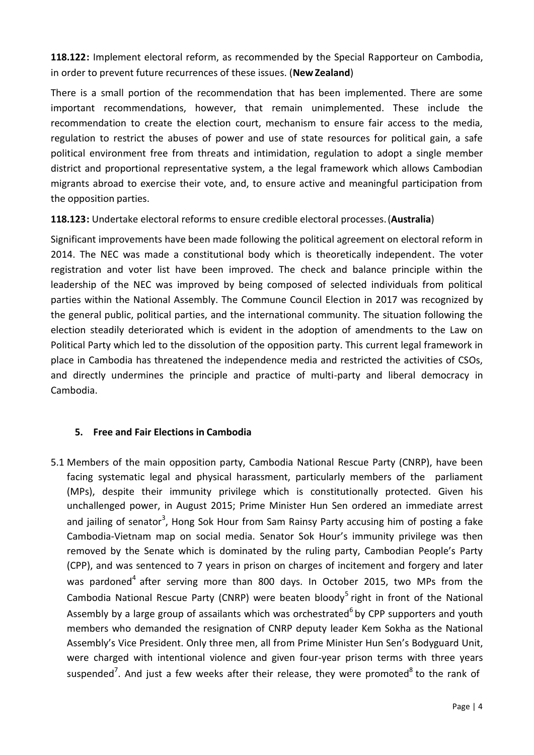**118.122:** Implement electoral reform, as recommended by the Special Rapporteur on Cambodia, in order to prevent future recurrences of these issues. (**NewZealand**)

There is a small portion of the recommendation that has been implemented. There are some important recommendations, however, that remain unimplemented. These include the recommendation to create the election court, mechanism to ensure fair access to the media, regulation to restrict the abuses of power and use of state resources for political gain, a safe political environment free from threats and intimidation, regulation to adopt a single member district and proportional representative system, a the legal framework which allows Cambodian migrants abroad to exercise their vote, and, to ensure active and meaningful participation from the opposition parties.

**118.123:** Undertake electoral reforms to ensure credible electoral processes.(**Australia**)

Significant improvements have been made following the political agreement on electoral reform in 2014. The NEC was made a constitutional body which is theoretically independent. The voter registration and voter list have been improved. The check and balance principle within the leadership of the NEC was improved by being composed of selected individuals from political parties within the National Assembly. The Commune Council Election in 2017 was recognized by the general public, political parties, and the international community. The situation following the election steadily deteriorated which is evident in the adoption of amendments to the Law on Political Party which led to the dissolution of the opposition party. This current legal framework in place in Cambodia has threatened the independence media and restricted the activities of CSOs, and directly undermines the principle and practice of multi-party and liberal democracy in Cambodia.

# **5. Free and Fair Elections in Cambodia**

5.1 Members of the main opposition party, Cambodia National Rescue Party (CNRP), have been facing systematic legal and physical harassment, particularly members of the parliament (MPs), despite their immunity privilege which is constitutionally protected. Given his unchallenged power, in August 2015; Prime Minister Hun Sen ordered an immediate arrest and jailing of senator<sup>[3](#page-7-0)</sup>, Hong Sok Hour from Sam Rainsy Party accusing him of posting a fake Cambodia-Vietnam map on social media. Senator Sok Hour's immunity privilege was then removed by the Senate which is dominated by the ruling party, Cambodian People's Party (CPP), and was sentenced to 7 years in prison on charges of incitement and forgery and later was pardoned<sup>[4](#page-7-0)</sup> after serving more than 800 days. In October 2015, two MPs from the Cambodia National Rescue Party (CNRP) were beaten bloody<sup>[5](#page-7-0)</sup> right in front of the National Assembly by a large group of assailants which was orchestrate[d](#page-7-0)<sup>6</sup> by CPP supporters and youth members who demanded the resignation of CNRP deputy leader Kem Sokha as the National Assembly's Vice President. Only three men, all from Prime Minister Hun Sen's Bodyguard Unit, were charged with intentional violence and given four-year prison terms with three years suspended<sup>[7](#page-7-0)</sup>. And just a few weeks after their release, they were promoted $^8$  $^8$  to the rank of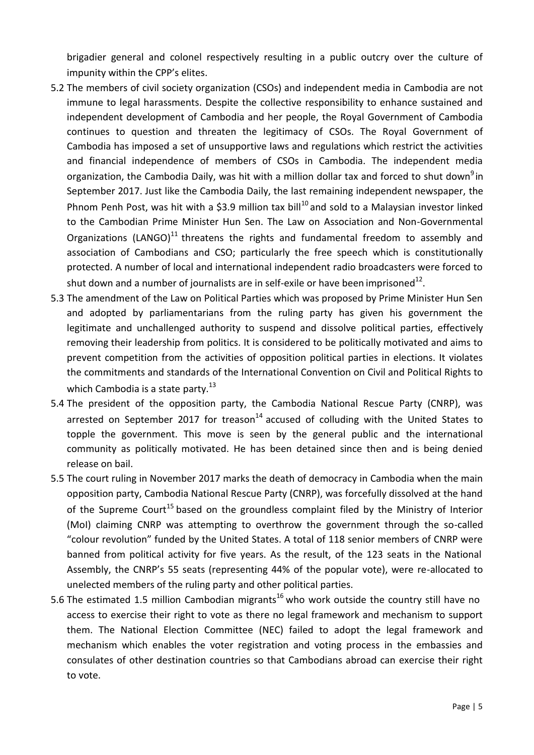brigadier general and colonel respectively resulting in a public outcry over the culture of impunity within the CPP's elites.

- 5.2 The members of civil society organization (CSOs) and independent media in Cambodia are not immune to legal harassments. Despite the collective responsibility to enhance sustained and independent development of Cambodia and her people, the Royal Government of Cambodia continues to question and threaten the legitimacy of CSOs. The Royal Government of Cambodia has imposed a set of unsupportive laws and regulations which restrict the activities and financial independence of members of CSOs in Cambodia. The independent media orga[n](#page-7-0)ization, the Cambodia Daily, was hit with a million dollar tax and forced to shut down<sup>9</sup>in September 2017. Just like the Cambodia Daily, the last remaining independent newspaper, the Phnom Penh Post, was hit with a \$3.9 million tax bill<sup>[10](#page-7-0)</sup> and sold to a Malaysian investor linked to the Cambodian Prime Minister Hun Sen. The Law on Association and Non-Governmental Organizations (LANGO)<sup>[11](#page-7-0)</sup> threatens the rights and fundamental freedom to assembly and association of Cambodians and CSO; particularly the free speech which is constitutionally protected. A number of local and international independent radio broadcasters were forced to shut down and a number of journalists are in self-exile or have been imprisoned $^{12}$  $^{12}$  $^{12}$ .
- 5.3 The amendment of the Law on Political Parties which was proposed by Prime Minister Hun Sen and adopted by parliamentarians from the ruling party has given his government the legitimate and unchallenged authority to suspend and dissolve political parties, effectively removing their leadership from politics. It is considered to be politically motivated and aims to prevent competition from the activities of opposition political parties in elections. It violates the commitments and standards of the International Convention on Civil and Political Rights to which Cambodia is a state party. $^{13}$  $^{13}$  $^{13}$
- 5.4 The president of the opposition party, the Cambodia National Rescue Party (CNRP), was arrested on September 2017 for treason<sup>[14](#page-7-0)</sup> accused of colluding with the United States to topple the government. This move is seen by the general public and the international community as politically motivated. He has been detained since then and is being denied release on bail.
- 5.5 The court ruling in November 2017 marks the death of democracy in Cambodia when the main opposition party, Cambodia National Rescue Party (CNRP), was forcefully dissolved at the hand of the Supreme Court<sup>[15](#page-7-1)</sup> based on the groundless complaint filed by the Ministry of Interior (MoI) claiming CNRP was attempting to overthrow the government through the so-called "colour revolution" funded by the United States. A total of 118 senior members of CNRP were banned from political activity for five years. As the result, of the 123 seats in the National Assembly, the CNRP's 55 seats (representing 44% of the popular vote), were re-allocated to unelected members of the ruling party and other political parties.
- 5.6 The estimated 1.5 million Cambodian migrants<sup>[16](#page-7-2)</sup> who work outside the country still have no access to exercise their right to vote as there no legal framework and mechanism to support them. The National Election Committee (NEC) failed to adopt the legal framework and mechanism which enables the voter registration and voting process in the embassies and consulates of other destination countries so that Cambodians abroad can exercise their right to vote.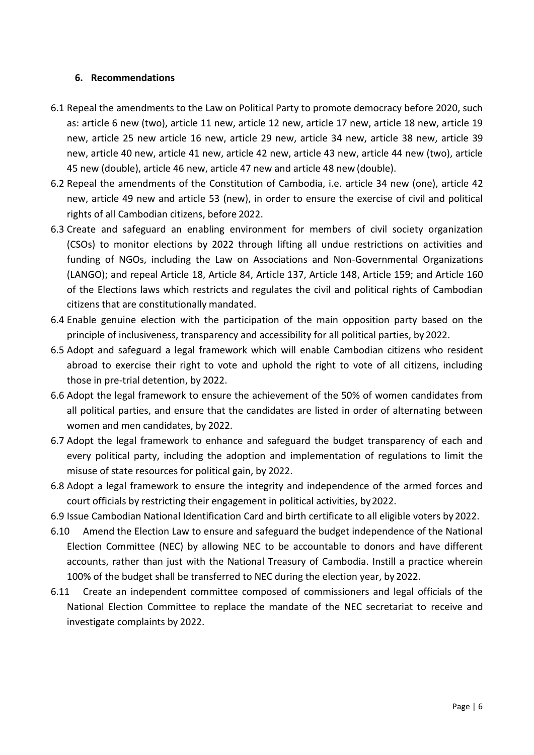### **6. Recommendations**

- 6.1 Repeal the amendments to the Law on Political Party to promote democracy before 2020, such as: article 6 new (two), article 11 new, article 12 new, article 17 new, article 18 new, article 19 new, article 25 new article 16 new, article 29 new, article 34 new, article 38 new, article 39 new, article 40 new, article 41 new, article 42 new, article 43 new, article 44 new (two), article 45 new (double), article 46 new, article 47 new and article 48 new (double).
- 6.2 Repeal the amendments of the Constitution of Cambodia, i.e. article 34 new (one), article 42 new, article 49 new and article 53 (new), in order to ensure the exercise of civil and political rights of all Cambodian citizens, before 2022.
- 6.3 Create and safeguard an enabling environment for members of civil society organization (CSOs) to monitor elections by 2022 through lifting all undue restrictions on activities and funding of NGOs, including the Law on Associations and Non-Governmental Organizations (LANGO); and repeal Article 18, Article 84, Article 137, Article 148, Article 159; and Article 160 of the Elections laws which restricts and regulates the civil and political rights of Cambodian citizens that are constitutionally mandated.
- 6.4 Enable genuine election with the participation of the main opposition party based on the principle of inclusiveness, transparency and accessibility for all political parties, by 2022.
- 6.5 Adopt and safeguard a legal framework which will enable Cambodian citizens who resident abroad to exercise their right to vote and uphold the right to vote of all citizens, including those in pre-trial detention, by 2022.
- 6.6 Adopt the legal framework to ensure the achievement of the 50% of women candidates from all political parties, and ensure that the candidates are listed in order of alternating between women and men candidates, by 2022.
- 6.7 Adopt the legal framework to enhance and safeguard the budget transparency of each and every political party, including the adoption and implementation of regulations to limit the misuse of state resources for political gain, by 2022.
- 6.8 Adopt a legal framework to ensure the integrity and independence of the armed forces and court officials by restricting their engagement in political activities, by2022.
- 6.9 Issue Cambodian National Identification Card and birth certificate to all eligible voters by 2022.
- 6.10 Amend the Election Law to ensure and safeguard the budget independence of the National Election Committee (NEC) by allowing NEC to be accountable to donors and have different accounts, rather than just with the National Treasury of Cambodia. Instill a practice wherein 100% of the budget shall be transferred to NEC during the election year, by 2022.
- 6.11 Create an independent committee composed of commissioners and legal officials of the National Election Committee to replace the mandate of the NEC secretariat to receive and investigate complaints by 2022.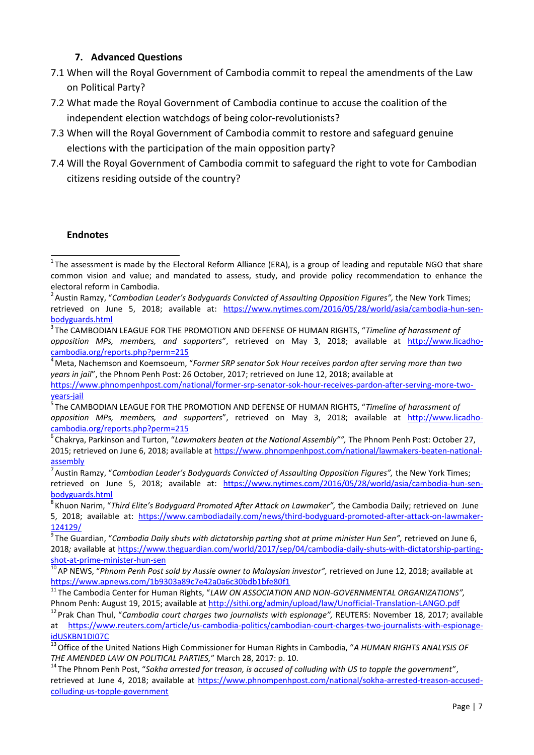### **7. Advanced Questions**

- 7.1 When will the Royal Government of Cambodia commit to repeal the amendments of the Law on Political Party?
- 7.2 What made the Royal Government of Cambodia continue to accuse the coalition of the independent election watchdogs of being color-revolutionists?
- 7.3 When will the Royal Government of Cambodia commit to restore and safeguard genuine elections with the participation of the main opposition party?
- 7.4 Will the Royal Government of Cambodia commit to safeguard the right to vote for Cambodian citizens residing outside of the country?

#### **Endnotes**

<sup>6</sup>Chakrya, Parkinson and Turton, "*Lawmakers beaten at the National Assembly"",* The Phnom Penh Post: October 27, 2015; retrieved on June 6, 2018; available at [https://www.phnompenhpost.com/national/lawmakers-beaten-national](https://www.phnompenhpost.com/national/lawmakers-beaten-national-assembly)[assembly](https://www.phnompenhpost.com/national/lawmakers-beaten-national-assembly)

<span id="page-6-0"></span> $1$ The assessment is made by the Electoral Reform Alliance (ERA), is a group of leading and reputable NGO that share common vision and value; and mandated to assess, study, and provide policy recommendation to enhance the electoral reform in Cambodia.

<span id="page-6-1"></span><sup>&</sup>lt;sup>2</sup> Austin Ramzy, "Cambodian Leader's Bodyguards Convicted of Assaulting Opposition Figures", the New York Times; retrieved on June 5, 2018; available at: [https://www.nytimes.com/2016/05/28/world/asia/cambodia-hun-sen](https://www.nytimes.com/2016/05/28/world/asia/cambodia-hun-sen-bodyguards.html)[bodyguards.html](https://www.nytimes.com/2016/05/28/world/asia/cambodia-hun-sen-bodyguards.html)

<sup>3</sup>The CAMBODIAN LEAGUE FOR THE PROMOTION AND DEFENSE OF HUMAN RIGHTS, "*Timeline of harassment of opposition MPs, members, and supporters*", retrieved on May 3, 2018; available at [http://www.licadho](http://www.licadho-cambodia.org/reports.php?perm=215)[cambodia.org/reports.php?perm=215](http://www.licadho-cambodia.org/reports.php?perm=215)

<sup>4</sup>Meta, Nachemson and Koemsoeum, "*Former SRP senator Sok Hour receives pardon after serving more than two years in jail*", the Phnom Penh Post: 26 October, 2017; retrieved on June 12, 2018; available at [https://www.phnompenhpost.com/national/former-srp-senator-sok-hour-receives-pardon-after-serving-more-two](https://www.phnompenhpost.com/national/former-srp-senator-sok-hour-receives-pardon-after-serving-more-two-years-jail)[years-jail](https://www.phnompenhpost.com/national/former-srp-senator-sok-hour-receives-pardon-after-serving-more-two-years-jail)

<sup>5</sup>The CAMBODIAN LEAGUE FOR THE PROMOTION AND DEFENSE OF HUMAN RIGHTS, "*Timeline of harassment of opposition MPs, members, and supporters*", retrieved on May 3, 2018; available at [http://www.licadho](http://www.licadho-cambodia.org/reports.php?perm=215)[cambodia.org/reports.php?perm=215](http://www.licadho-cambodia.org/reports.php?perm=215)

<sup>7</sup>Austin Ramzy, "*Cambodian Leader's Bodyguards Convicted of Assaulting Opposition Figures",* the New York Times; retrieved on June 5, 2018; available at: [https://www.nytimes.com/2016/05/28/world/asia/cambodia-hun-sen](https://www.nytimes.com/2016/05/28/world/asia/cambodia-hun-sen-bodyguards.html)[bodyguards.html](https://www.nytimes.com/2016/05/28/world/asia/cambodia-hun-sen-bodyguards.html)

<sup>&</sup>lt;sup>8</sup> Khuon Narim, "Third Elite's Bodyguard Promoted After Attack on Lawmaker", the Cambodia Daily; retrieved on June 5, 2018; available at: [https://www.cambodiadaily.com/news/third-bodyguard-promoted-after-attack-on-lawmaker-](https://www.cambodiadaily.com/news/third-bodyguard-promoted-after-attack-on-lawmaker-124129/)[124129/](https://www.cambodiadaily.com/news/third-bodyguard-promoted-after-attack-on-lawmaker-124129/)

<sup>&</sup>lt;sup>9</sup>The Guardian, "Cambodia Daily shuts with dictatorship parting shot at prime minister Hun Sen", retrieved on June 6, 2018*;* available at [https://www.theguardian.com/world/2017/sep/04/cambodia-daily-shuts-with-dictatorship-parting](https://www.theguardian.com/world/2017/sep/04/cambodia-daily-shuts-with-dictatorship-parting-shot-at-prime-minister-hun-sen)[shot-at-prime-minister-hun-sen](https://www.theguardian.com/world/2017/sep/04/cambodia-daily-shuts-with-dictatorship-parting-shot-at-prime-minister-hun-sen)

<sup>&</sup>lt;sup>10</sup> AP NEWS, "Phnom Penh Post sold by Aussie owner to Malaysian investor", retrieved on June 12, 2018; available at <https://www.apnews.com/1b9303a89c7e42a0a6c30bdb1bfe80f1>

<sup>11</sup>The Cambodia Center for Human Rights, "*LAW ON ASSOCIATION AND NON-GOVERNMENTAL ORGANIZATIONS",* Phnom Penh: August 19, 2015; available a[t http://sithi.org/admin/upload/law/Unofficial-Translation-LANGO.pdf](http://sithi.org/admin/upload/law/Unofficial-Translation-LANGO.pdf)

<sup>12</sup>Prak Chan Thul, "*Cambodia court charges two journalists with espionage",* REUTERS: November 18, 2017; available at [https://www.reuters.com/article/us-cambodia-politics/cambodian-court-charges-two-journalists-with-espionage](https://www.reuters.com/article/us-cambodia-politics/cambodian-court-charges-two-journalists-with-espionage-idUSKBN1DI07C)[idUSKBN1DI07C](https://www.reuters.com/article/us-cambodia-politics/cambodian-court-charges-two-journalists-with-espionage-idUSKBN1DI07C)

<sup>13</sup>Office of the United Nations High Commissioner for Human Rights in Cambodia, "*A HUMAN RIGHTS ANALYSIS OF THE AMENDED LAW ON POLITICAL PARTIES,*" March 28, 2017: p. 10.

<sup>&</sup>lt;sup>14</sup> The Phnom Penh Post, "Sokha arrested for treason, is accused of colluding with US to topple the government", retrieved at June 4, 2018; available at [https://www.phnompenhpost.com/national/sokha-arrested-treason-accused](https://www.phnompenhpost.com/national/sokha-arrested-treason-accused-colluding-us-topple-government)[colluding-us-topple-government](https://www.phnompenhpost.com/national/sokha-arrested-treason-accused-colluding-us-topple-government)